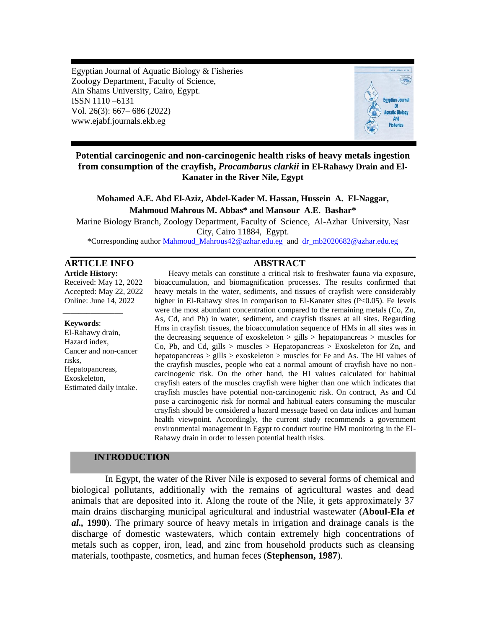Egyptian Journal of Aquatic Biology & Fisheries Zoology Department, Faculty of Science, Ain Shams University, Cairo, Egypt. ISSN 1110 –6131 Vol. 26(3): 667– 686 (2022) www.ejabf.journals.ekb.eg



# **Potential carcinogenic and non-carcinogenic health risks of heavy metals ingestion from consumption of the crayfish,** *Procambarus clarkii* **in El-Rahawy Drain and El-Kanater in the River Nile, Egypt**

# **Mohamed A.E. Abd El-Aziz, Abdel-Kader M. Hassan, Hussein A. El-Naggar, Mahmoud Mahrous M. Abbas\* and Mansour A.E. Bashar\***

Marine Biology Branch, Zoology Department, Faculty of Science, Al-Azhar University, Nasr City, Cairo 11884, Egypt. \*Corresponding author [Mahmoud\\_Mahrous42@azhar.edu.eg](mailto:Mahmoud_Mahrous42@azhar.edu.eg) and [dr\\_mb2020682@azhar.edu.eg](mailto:dr_mb2020682@azhar.edu.eg)

# **ARTICLE INFO ABSTRACT**

**Article History:** Received: May 12, 2022 Accepted: May 22, 2022 Online: June 14, 2022

#### **Keywords**:

*\_\_\_\_\_\_\_\_\_\_\_\_\_\_\_*

El-Rahawy drain, Hazard index, Cancer and non-cancer risks, Hepatopancreas, Exoskeleton, Estimated daily intake.

Heavy metals can constitute a critical risk to freshwater fauna via exposure, bioaccumulation, and biomagnification processes. The results confirmed that heavy metals in the water, sediments, and tissues of crayfish were considerably higher in El-Rahawy sites in comparison to El-Kanater sites (P<0.05). Fe levels were the most abundant concentration compared to the remaining metals (Co, Zn, As, Cd, and Pb) in water, sediment, and crayfish tissues at all sites. Regarding Hms in crayfish tissues, the bioaccumulation sequence of HMs in all sites was in the decreasing sequence of exoskeleton  $>$  gills  $>$  hepatopancreas  $>$  muscles for Co, Pb, and Cd, gills  $>$  muscles  $>$  Hepatopancreas  $>$  Exoskeleton for Zn, and hepatopancreas > gills > exoskeleton > muscles for Fe and As. The HI values of the crayfish muscles, people who eat a normal amount of crayfish have no noncarcinogenic risk. On the other hand, the HI values calculated for habitual crayfish eaters of the muscles crayfish were higher than one which indicates that crayfish muscles have potential non-carcinogenic risk. On contract, As and Cd pose a carcinogenic risk for normal and habitual eaters consuming the muscular crayfish should be considered a hazard message based on data indices and human health viewpoint. Accordingly, the current study recommends a government environmental management in Egypt to conduct routine HM monitoring in the El-Rahawy drain in order to lessen potential health risks.

#### **INTRODUCTION**

In Egypt, the water of the River Nile is exposed to several forms of chemical and biological pollutants, additionally with the remains of agricultural wastes and dead animals that are deposited into it. Along the route of the Nile, it gets approximately 37 main drains discharging municipal agricultural and industrial wastewater (**Aboul-Ela** *et al.,* **1990**). The primary source of heavy metals in irrigation and drainage canals is the discharge of domestic wastewaters, which contain extremely high concentrations of metals such as copper, iron, lead, and zinc from household products such as cleansing materials, toothpaste, cosmetics, and human feces (**Stephenson, 1987**).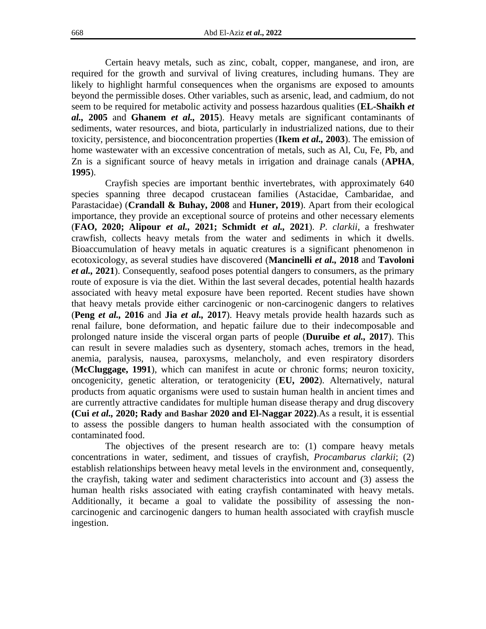Certain heavy metals, such as zinc, cobalt, copper, manganese, and iron, are required for the growth and survival of living creatures, including humans. They are likely to highlight harmful consequences when the organisms are exposed to amounts beyond the permissible doses. Other variables, such as arsenic, lead, and cadmium, do not seem to be required for metabolic activity and possess hazardous qualities (**EL-Shaikh** *et al.,* **2005** and **Ghanem** *et al.,* **2015**). Heavy metals are significant contaminants of sediments, water resources, and biota, particularly in industrialized nations, due to their toxicity, persistence, and bioconcentration properties (**Ikem** *et al.,* **2003**). The emission of home wastewater with an excessive concentration of metals, such as Al, Cu, Fe, Pb, and Zn is a significant source of heavy metals in irrigation and drainage canals (**APHA**, **1995**).

Crayfish species are important benthic invertebrates, with approximately 640 species spanning three decapod crustacean families (Astacidae, Cambaridae, and Parastacidae) (**Crandall & Buhay, 2008** and **Huner, 2019**). Apart from their ecological importance, they provide an exceptional source of proteins and other necessary elements (**FAO, 2020; Alipour** *et al.,* **2021; Schmidt** *et al.,* **2021**). *P. clarkii*, a freshwater crawfish, collects heavy metals from the water and sediments in which it dwells. Bioaccumulation of heavy metals in aquatic creatures is a significant phenomenon in ecotoxicology, as several studies have discovered (**Mancinelli** *et al.,* **2018** and **Tavoloni**  *et al.,* **2021**). Consequently, seafood poses potential dangers to consumers, as the primary route of exposure is via the diet. Within the last several decades, potential health hazards associated with heavy metal exposure have been reported. Recent studies have shown that heavy metals provide either carcinogenic or non-carcinogenic dangers to relatives (**Peng** *et al.,* **2016** and **Jia** *et al.,* **2017**). Heavy metals provide health hazards such as renal failure, bone deformation, and hepatic failure due to their indecomposable and prolonged nature inside the visceral organ parts of people (**Duruibe** *et al.,* **2017**). This can result in severe maladies such as dysentery, stomach aches, tremors in the head, anemia, paralysis, nausea, paroxysms, melancholy, and even respiratory disorders (**McCluggage, 1991**), which can manifest in acute or chronic forms; neuron toxicity, oncogenicity, genetic alteration, or teratogenicity (**EU, 2002**). Alternatively, natural products from aquatic organisms were used to sustain human health in ancient times and are currently attractive candidates for multiple human disease therapy and drug discovery **(Cui** *et al.,* **2020; Rady and Bashar 2020 and El-Naggar 2022)**.As a result, it is essential to assess the possible dangers to human health associated with the consumption of contaminated food.

The objectives of the present research are to: (1) compare heavy metals concentrations in water, sediment, and tissues of crayfish, *Procambarus clarkii*; (2) establish relationships between heavy metal levels in the environment and, consequently, the crayfish, taking water and sediment characteristics into account and (3) assess the human health risks associated with eating crayfish contaminated with heavy metals. Additionally, it became a goal to validate the possibility of assessing the noncarcinogenic and carcinogenic dangers to human health associated with crayfish muscle ingestion.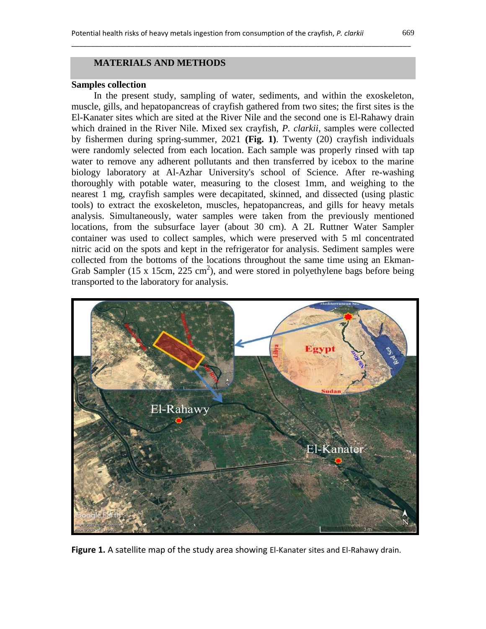\_\_\_\_\_\_\_\_\_\_\_\_\_\_\_\_\_\_\_\_\_\_\_\_\_\_\_\_\_\_\_\_\_\_\_\_\_\_\_\_\_\_\_\_\_\_\_\_\_\_\_\_\_\_\_\_\_\_\_\_\_\_\_\_\_\_\_\_\_\_\_\_\_\_\_\_\_\_\_\_\_\_\_\_\_\_

#### **Samples collection**

In the present study, sampling of water, sediments, and within the exoskeleton, muscle, gills, and hepatopancreas of crayfish gathered from two sites; the first sites is the El-Kanater sites which are sited at the River Nile and the second one is El-Rahawy drain which drained in the River Nile. Mixed sex crayfish, *P. clarkii*, samples were collected by fishermen during spring-summer, 2021 **(Fig. 1)**. Twenty (20) crayfish individuals were randomly selected from each location. Each sample was properly rinsed with tap water to remove any adherent pollutants and then transferred by icebox to the marine biology laboratory at Al-Azhar University's school of Science. After re-washing thoroughly with potable water, measuring to the closest 1mm, and weighing to the nearest 1 mg, crayfish samples were decapitated, skinned, and dissected (using plastic tools) to extract the exoskeleton, muscles, hepatopancreas, and gills for heavy metals analysis. Simultaneously, water samples were taken from the previously mentioned locations, from the subsurface layer (about 30 cm). A 2L Ruttner Water Sampler container was used to collect samples, which were preserved with 5 ml concentrated nitric acid on the spots and kept in the refrigerator for analysis. Sediment samples were collected from the bottoms of the locations throughout the same time using an Ekman-Grab Sampler (15 x 15cm, 225 cm<sup>2</sup>), and were stored in polyethylene bags before being transported to the laboratory for analysis.



Figure 1. A satellite map of the study area showing El-Kanater sites and El-Rahawy drain.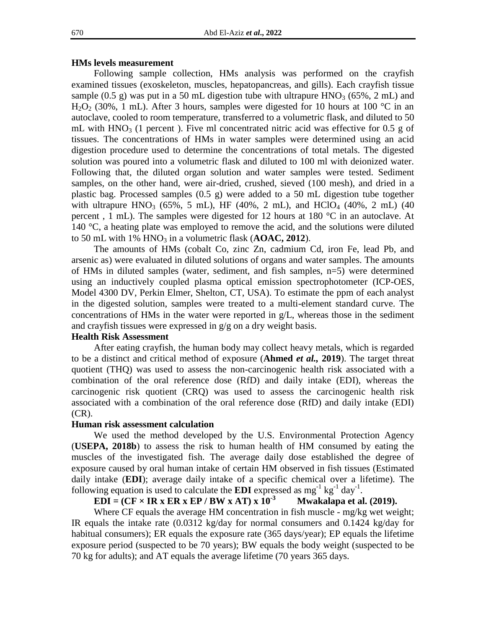#### **HMs levels measurement**

Following sample collection, HMs analysis was performed on the crayfish examined tissues (exoskeleton, muscles, hepatopancreas, and gills). Each crayfish tissue sample (0.5 g) was put in a 50 mL digestion tube with ultrapure HNO<sub>3</sub> (65%, 2 mL) and  $H_2O_2$  (30%, 1 mL). After 3 hours, samples were digested for 10 hours at 100 °C in an autoclave, cooled to room temperature, transferred to a volumetric flask, and diluted to 50 mL with  $HNO<sub>3</sub>$  (1 percent ). Five ml concentrated nitric acid was effective for 0.5 g of tissues. The concentrations of HMs in water samples were determined using an acid digestion procedure used to determine the concentrations of total metals. The digested solution was poured into a volumetric flask and diluted to 100 ml with deionized water. Following that, the diluted organ solution and water samples were tested. Sediment samples, on the other hand, were air-dried, crushed, sieved (100 mesh), and dried in a plastic bag. Processed samples (0.5 g) were added to a 50 mL digestion tube together with ultrapure HNO<sub>3</sub> (65%, 5 mL), HF (40%, 2 mL), and HClO<sub>4</sub> (40%, 2 mL) (40 percent , 1 mL). The samples were digested for 12 hours at 180 °C in an autoclave. At 140 °C, a heating plate was employed to remove the acid, and the solutions were diluted to 50 mL with  $1\%$  HNO<sub>3</sub> in a volumetric flask ( $\bf{AOAC}, 2012$ ).

The amounts of HMs (cobalt Co, zinc Zn, cadmium Cd, iron Fe, lead Pb, and arsenic as) were evaluated in diluted solutions of organs and water samples. The amounts of HMs in diluted samples (water, sediment, and fish samples, n=5) were determined using an inductively coupled plasma optical emission spectrophotometer (ICP-OES, Model 4300 DV, Perkin Elmer, Shelton, CT, USA). To estimate the ppm of each analyst in the digested solution, samples were treated to a multi-element standard curve. The concentrations of HMs in the water were reported in g/L, whereas those in the sediment and crayfish tissues were expressed in g/g on a dry weight basis.

#### **Health Risk Assessment**

After eating crayfish, the human body may collect heavy metals, which is regarded to be a distinct and critical method of exposure (**Ahmed** *et al.,* **2019**). The target threat quotient (THQ) was used to assess the non-carcinogenic health risk associated with a combination of the oral reference dose (RfD) and daily intake (EDI), whereas the carcinogenic risk quotient (CRQ) was used to assess the carcinogenic health risk associated with a combination of the oral reference dose (RfD) and daily intake (EDI) (CR).

#### **Human risk assessment calculation**

We used the method developed by the U.S. Environmental Protection Agency (**USEPA, 2018b**) to assess the risk to human health of HM consumed by eating the muscles of the investigated fish. The average daily dose established the degree of exposure caused by oral human intake of certain HM observed in fish tissues (Estimated daily intake (**EDI**); average daily intake of a specific chemical over a lifetime). The following equation is used to calculate the **EDI** expressed as  $mg^{-1}$  kg<sup>-1</sup> day<sup>-1</sup>.

#### $EDI = (CF \times IR \times ER \times EP / BW \times AT) \times 10^{-3}$  **Mwakalapa et al. (2019).**

Where CF equals the average HM concentration in fish muscle - mg/kg wet weight; IR equals the intake rate (0.0312 kg/day for normal consumers and 0.1424 kg/day for habitual consumers); ER equals the exposure rate (365 days/year); EP equals the lifetime exposure period (suspected to be 70 years); BW equals the body weight (suspected to be 70 kg for adults); and AT equals the average lifetime (70 years 365 days.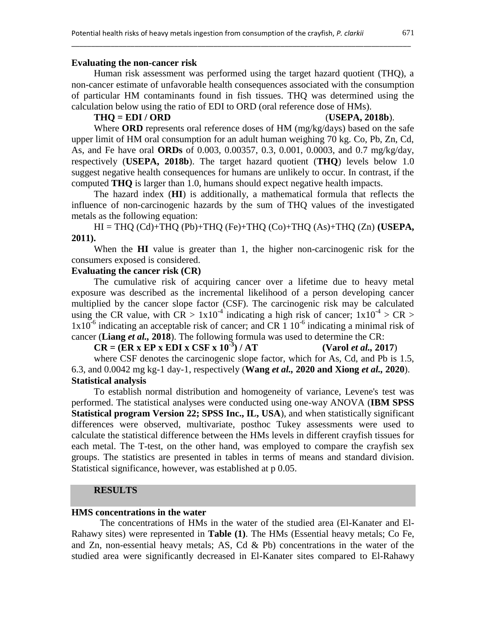#### **Evaluating the non-cancer risk**

Human risk assessment was performed using the target hazard quotient (THQ), a non-cancer estimate of unfavorable health consequences associated with the consumption of particular HM contaminants found in fish tissues. THQ was determined using the calculation below using the ratio of EDI to ORD (oral reference dose of HMs).

\_\_\_\_\_\_\_\_\_\_\_\_\_\_\_\_\_\_\_\_\_\_\_\_\_\_\_\_\_\_\_\_\_\_\_\_\_\_\_\_\_\_\_\_\_\_\_\_\_\_\_\_\_\_\_\_\_\_\_\_\_\_\_\_\_\_\_\_\_\_\_\_\_\_\_\_\_\_\_\_\_\_\_\_\_\_

#### **THQ = EDI / ORD** (**USEPA, 2018b**).

Where **ORD** represents oral reference doses of HM (mg/kg/days) based on the safe upper limit of HM oral consumption for an adult human weighing 70 kg. Co, Pb, Zn, Cd, As, and Fe have oral **ORDs** of 0.003, 0.00357, 0.3, 0.001, 0.0003, and 0.7 mg/kg/day, respectively (**USEPA, 2018b**). The target hazard quotient (**THQ**) levels below 1.0 suggest negative health consequences for humans are unlikely to occur. In contrast, if the computed **THQ** is larger than 1.0, humans should expect negative health impacts.

The hazard index (**HI**) is additionally, a mathematical formula that reflects the influence of non-carcinogenic hazards by the sum of THQ values of the investigated metals as the following equation:

HI = THQ (Cd)+THQ (Pb)+THQ (Fe)+THQ (Co)+THQ (As)+THQ (Zn) **(USEPA, 2011).**

When the **HI** value is greater than 1, the higher non-carcinogenic risk for the consumers exposed is considered.

# **Evaluating the cancer risk (CR)**

The cumulative risk of acquiring cancer over a lifetime due to heavy metal exposure was described as the incremental likelihood of a person developing cancer multiplied by the cancer slope factor (CSF). The carcinogenic risk may be calculated using the CR value, with  $CR > 1x10^{-4}$  indicating a high risk of cancer;  $1x10^{-4} > CR >$  $1x10^{-6}$  indicating an acceptable risk of cancer; and CR 1  $10^{-6}$  indicating a minimal risk of cancer (**Liang** *et al.,* **2018**). The following formula was used to determine the CR:

 $CR = (ER \times EP \times EDI \times CSF \times 10^{-3}) / AT$ **) / AT (Varol** *et al.,* **2017**)

where CSF denotes the carcinogenic slope factor, which for As, Cd, and Pb is 1.5, 6.3, and 0.0042 mg kg-1 day-1, respectively (**Wang** *et al.,* **2020 and Xiong** *et al.,* **2020**). **Statistical analysis**

To establish normal distribution and homogeneity of variance, Levene's test was performed. The statistical analyses were conducted using one-way ANOVA (**IBM SPSS Statistical program Version 22; SPSS Inc., IL, USA**), and when statistically significant differences were observed, multivariate, posthoc Tukey assessments were used to calculate the statistical difference between the HMs levels in different crayfish tissues for each metal. The T-test, on the other hand, was employed to compare the crayfish sex groups. The statistics are presented in tables in terms of means and standard division. Statistical significance, however, was established at p 0.05.

# **RESULTS**

# **HMS concentrations in the water**

The concentrations of HMs in the water of the studied area (El-Kanater and El-Rahawy sites) were represented in **Table (1)**. The HMs (Essential heavy metals; Co Fe, and Zn, non-essential heavy metals; AS, Cd & Pb) concentrations in the water of the studied area were significantly decreased in El-Kanater sites compared to El-Rahawy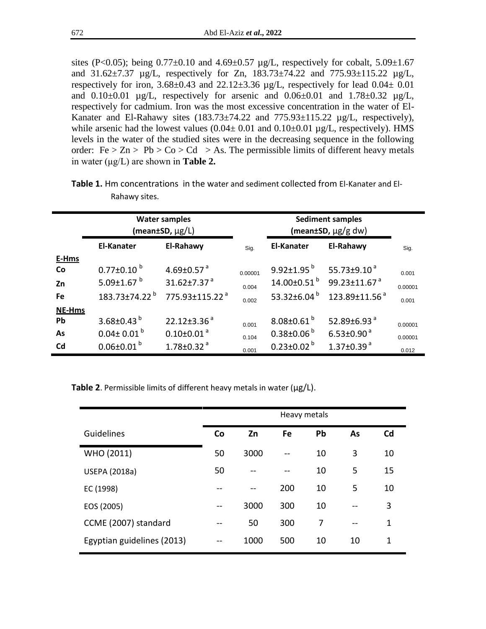sites (P<0.05); being  $0.77\pm0.10$  and  $4.69\pm0.57$  µg/L, respectively for cobalt,  $5.09\pm1.67$ and 31.62±7.37 µg/L, respectively for Zn, 183.73±74.22 and 775.93±115.22 µg/L, respectively for iron,  $3.68\pm0.43$  and  $22.12\pm3.36$  µg/L, respectively for lead  $0.04\pm 0.01$ and  $0.10\pm0.01$   $\mu$ g/L, respectively for arsenic and  $0.06\pm0.01$  and  $1.78\pm0.32$   $\mu$ g/L, respectively for cadmium. Iron was the most excessive concentration in the water of El-Kanater and El-Rahawy sites (183.73±74.22 and 775.93±115.22 µg/L, respectively), while arsenic had the lowest values  $(0.04 \pm 0.01$  and  $(0.10 \pm 0.01)$  µg/L, respectively). HMS levels in the water of the studied sites were in the decreasing sequence in the following order:  $Fe > Zn > Pb > Co > Cd > As$ . The permissible limits of different heavy metals in water (μg/L) are shown in **Table 2.**

|               |                                 | <b>Water samples</b><br>$(mean \pm SD, \mu g/L)$ |       | <b>Sediment samples</b><br>(mean±SD, $\mu$ g/g dw) |                                                   |         |
|---------------|---------------------------------|--------------------------------------------------|-------|----------------------------------------------------|---------------------------------------------------|---------|
|               | <b>El-Kanater</b>               | El-Rahawy                                        |       | <b>El-Kanater</b>                                  | El-Rahawy                                         | Sig.    |
| E-Hms         |                                 |                                                  |       |                                                    |                                                   |         |
| <b>Co</b>     | $0.77 \pm 0.10^{b}$             | 4.69 $\pm$ 0.57 $^{\circ}$                       |       | $9.92 \pm 1.95^{b}$                                | 55.73 $\pm$ 9.10 $^{\circ}$                       | 0.001   |
| Zn            | 5.09 $\pm$ 1.67 $^{\mathrm{b}}$ | $31.62 \pm 7.37$ <sup>a</sup>                    |       |                                                    | $14.00\pm0.51^{b}$ 99.23 $\pm$ 11.67 <sup>a</sup> | 0.00001 |
| Fe            | $183.73 \pm 74.22$ <sup>b</sup> | 775.93±115.22 <sup>a</sup>                       |       | 53.32 $\pm$ 6.04 $^{\circ}$                        | 123.89±11.56 <sup>a</sup>                         | 0.001   |
| <b>NE-Hms</b> |                                 |                                                  |       |                                                    |                                                   |         |
| Pb            | 3.68±0.43 $^{b}$                | $22.12 \pm 3.36$ <sup>a</sup>                    | 0.001 | $8.08 \pm 0.61^{b}$                                | 52.89 $\pm$ 6.93 $^{a}$                           | 0.00001 |
| As            | $0.04 \pm 0.01^{b}$             | $0.10 \pm 0.01$ <sup>a</sup>                     | 0.104 | $0.38 \pm 0.06^{b}$                                | $6.53 \pm 0.90$ <sup>a</sup>                      | 0.00001 |
| Cd            | $0.06 \pm 0.01^{b}$             | $1.78 \pm 0.32$ <sup>a</sup>                     | 0.001 | $0.23 \pm 0.02^{b}$                                | $1.37 \pm 0.39$ <sup>a</sup>                      | 0.012   |

**Table 1.** Hm concentrations in the water and sediment collected from El-Kanater and El-Rahawy sites.

**Table 2**. Permissible limits of different heavy metals in water (μg/L).

|                            | Heavy metals |      |     |    |    |    |
|----------------------------|--------------|------|-----|----|----|----|
| Guidelines                 | Co           | Zn   | Fe  | Pb | As | Cd |
| WHO (2011)                 | 50           | 3000 |     | 10 | 3  | 10 |
| <b>USEPA (2018a)</b>       | 50           |      | --  | 10 | 5  | 15 |
| EC (1998)                  |              |      | 200 | 10 | 5  | 10 |
| EOS (2005)                 | --           | 3000 | 300 | 10 | -- | 3  |
| CCME (2007) standard       |              | 50   | 300 | 7  | -- | 1  |
| Egyptian guidelines (2013) |              | 1000 | 500 | 10 | 10 | 1  |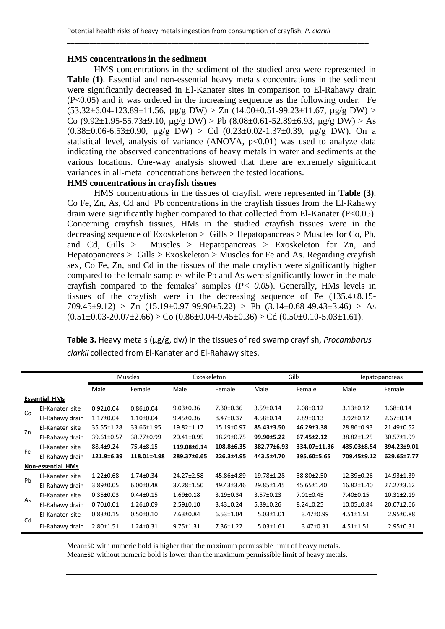\_\_\_\_\_\_\_\_\_\_\_\_\_\_\_\_\_\_\_\_\_\_\_\_\_\_\_\_\_\_\_\_\_\_\_\_\_\_\_\_\_\_\_\_\_\_\_\_\_\_\_\_\_\_\_\_\_\_\_\_\_\_\_\_\_\_\_\_\_\_\_\_\_\_\_\_\_\_\_\_\_

## **HMS concentrations in the sediment**

HMS concentrations in the sediment of the studied area were represented in **Table (1)**. Essential and non-essential heavy metals concentrations in the sediment were significantly decreased in El-Kanater sites in comparison to El-Rahawy drain (P<0.05) and it was ordered in the increasing sequence as the following order: Fe  $(53.32\pm6.04-123.89\pm11.56, \mu$ g/g DW) > Zn  $(14.00\pm0.51-99.23\pm11.67, \mu$ g/g DW) > Co  $(9.92 \pm 1.95 - 55.73 \pm 9.10$ ,  $\mu$ g/g DW) > Pb  $(8.08 \pm 0.61 - 52.89 \pm 6.93$ ,  $\mu$ g/g DW) > As  $(0.38\pm0.06-6.53\pm0.90, \mu$ g/g DW) > Cd  $(0.23\pm0.02-1.37\pm0.39, \mu$ g/g DW). On a statistical level, analysis of variance (ANOVA,  $p<0.01$ ) was used to analyze data indicating the observed concentrations of heavy metals in water and sediments at the various locations. One-way analysis showed that there are extremely significant variances in all-metal concentrations between the tested locations.

# **HMS concentrations in crayfish tissues**

HMS concentrations in the tissues of crayfish were represented in **Table (3)**. Co Fe, Zn, As, Cd and Pb concentrations in the crayfish tissues from the El-Rahawy drain were significantly higher compared to that collected from El-Kanater (P<0.05). Concerning crayfish tissues, HMs in the studied crayfish tissues were in the decreasing sequence of Exoskeleton  $>$  Gills  $>$  Hepatopancreas  $>$  Muscles for Co, Pb, and Cd, Gills > Muscles > Hepatopancreas > Exoskeleton for Zn, and Hepatopancreas > Gills > Exoskeleton > Muscles for Fe and As. Regarding crayfish sex, Co Fe, Zn, and Cd in the tissues of the male crayfish were significantly higher compared to the female samples while Pb and As were significantly lower in the male crayfish compared to the females' samples (*P< 0.05*). Generally, HMs levels in tissues of the crayfish were in the decreasing sequence of Fe (135.4±8.15- 709.45 $\pm$ 9.12) > Zn (15.19 $\pm$ 0.97-99.90 $\pm$ 5.22) > Pb (3.14 $\pm$ 0.68-49.43 $\pm$ 3.46) > As  $(0.51\pm0.03-20.07\pm2.66) > Co$   $(0.86\pm0.04-9.45\pm0.36) > Cd$   $(0.50\pm0.10-5.03\pm1.61)$ .

**Table 3.** Heavy metals (µg/g, dw) in the tissues of red swamp crayfish, *Procambarus clarkii* collected from El-Kanater and El-Rahawy sites.

|                      |                          | <b>Muscles</b>  |                 | Exoskeleton     |                  | Gills           |                 | <b>Hepatopancreas</b> |                  |
|----------------------|--------------------------|-----------------|-----------------|-----------------|------------------|-----------------|-----------------|-----------------------|------------------|
|                      |                          | Male            | Female          | Male            | Female           | Male            | Female          | Male                  | Female           |
| <b>Essential HMs</b> |                          |                 |                 |                 |                  |                 |                 |                       |                  |
| Co                   | El-Kanater site          | $0.92 \pm 0.04$ | $0.86 \pm 0.04$ | $9.03 \pm 0.36$ | $7.30 \pm 0.36$  | $3.59 \pm 0.14$ | $2.08 \pm 0.12$ | $3.13 \pm 0.12$       | $1.68 \pm 0.14$  |
|                      | El-Rahawy drain          | $1.17 \pm 0.04$ | $1.10 \pm 0.04$ | $9.45 \pm 0.36$ | $8.47 \pm 0.37$  | $4.58 \pm 0.14$ | $2.89 \pm 0.13$ | $3.92 \pm 0.12$       | $2.67 \pm 0.14$  |
| Zn                   | El-Kanater site          | 35.55±1.28      | 33.66±1.95      | 19.82±1.17      | $15.19 \pm 0.97$ | 85.43±3.50      | 46.29±3.38      | 28.86±0.93            | 21.49±0.52       |
|                      | El-Rahawy drain          | 39.61±0.57      | 38.77±0.99      | 20.41±0.95      | $18.29 \pm 0.75$ | 99.90±5.22      | 67.45±2.12      | 38.82±1.25            | $30.57 \pm 1.99$ |
| Fe                   | El-Kanater site          | 88.4±9.24       | 75.4±8.15       | 119.08±6.14     | 108.8±6.35       | 382.77±6.93     | 334.07±11.36    | 435.03±8.54           | 394.23±9.01      |
|                      | El-Rahawy drain          | 121.9±6.39      | 118.01±4.98     | 289.37±6.65     | 226.3±4.95       | 443.5±4.70      | 395.60±5.65     | 709.45±9.12           | 629.65±7.77      |
|                      | <b>Non-essential HMs</b> |                 |                 |                 |                  |                 |                 |                       |                  |
| Ph                   | El-Kanater site          | $1.22 \pm 0.68$ | $1.74 \pm 0.34$ | 24.27±2.58      | 45.86±4.89       | 19.78±1.28      | 38.80±2.50      | 12.39±0.26            | $14.93 \pm 1.39$ |
|                      | El-Rahawy drain          | $3.89 \pm 0.05$ | $6.00 \pm 0.48$ | 37.28±1.50      | 49.43±3.46       | 29.85±1.45      | 45.65±1.40      | 16.82±1.40            | $27.27 \pm 3.62$ |
| As                   | El-Kanater site          | $0.35 \pm 0.03$ | $0.44 \pm 0.15$ | $1.69 \pm 0.18$ | $3.19 \pm 0.34$  | $3.57 \pm 0.23$ | $7.01 \pm 0.45$ | $7.40 \pm 0.15$       | $10.31 \pm 2.19$ |
|                      | El-Rahawy drain          | $0.70 \pm 0.01$ | $1.26 \pm 0.09$ | $2.59 \pm 0.10$ | $3.43 \pm 0.24$  | $5.39 \pm 0.26$ | $8.24 \pm 0.25$ | 10.05±0.84            | $20.07 \pm 2.66$ |
| Cd                   | El-Kanater site          | $0.83 \pm 0.15$ | $0.50 \pm 0.10$ | $7.63 \pm 0.84$ | $6.53 \pm 1.04$  | $5.03 \pm 1.01$ | $3.47 \pm 0.99$ | $4.51 \pm 1.51$       | $2.95 \pm 0.88$  |
|                      | El-Rahawy drain          | $2.80 \pm 1.51$ | $1.24 \pm 0.31$ | $9.75 \pm 1.31$ | $7.36 \pm 1.22$  | $5.03 \pm 1.61$ | $3.47 \pm 0.31$ | $4.51 \pm 1.51$       | $2.95 \pm 0.31$  |

Mean±SD with numeric bold is higher than the maximum permissible limit of heavy metals.

Mean±SD without numeric bold is lower than the maximum permissible limit of heavy metals.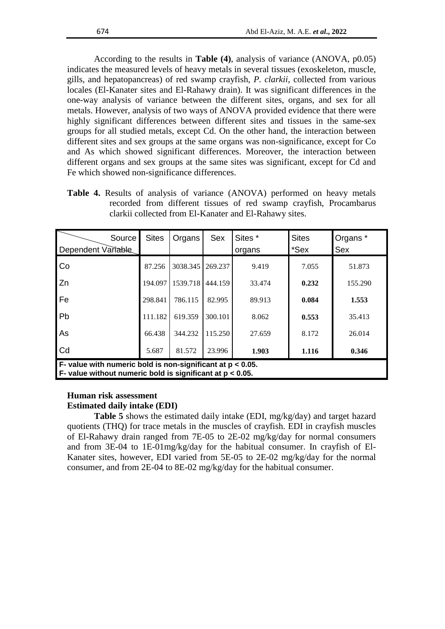According to the results in **Table (4)**, analysis of variance (ANOVA, p0.05) indicates the measured levels of heavy metals in several tissues (exoskeleton, muscle, gills, and hepatopancreas) of red swamp crayfish, *P. clarkii*, collected from various locales (El-Kanater sites and El-Rahawy drain). It was significant differences in the one-way analysis of variance between the different sites, organs, and sex for all metals. However, analysis of two ways of ANOVA provided evidence that there were highly significant differences between different sites and tissues in the same-sex groups for all studied metals, except Cd. On the other hand, the interaction between different sites and sex groups at the same organs was non-significance, except for Co and As which showed significant differences. Moreover, the interaction between different organs and sex groups at the same sites was significant, except for Cd and Fe which showed non-significance differences.

**Table 4.** Results of analysis of variance (ANOVA) performed on heavy metals recorded from different tissues of red swamp crayfish, Procambarus clarkii collected from El-Kanater and El-Rahawy sites.

| Source<br>Dependent Variable                                                                                                                | <b>Sites</b> | Organs   | <b>Sex</b> | Sites *<br>organs | <b>Sites</b><br>*Sex | Organs *<br><b>Sex</b> |  |  |  |
|---------------------------------------------------------------------------------------------------------------------------------------------|--------------|----------|------------|-------------------|----------------------|------------------------|--|--|--|
| Co                                                                                                                                          | 87.256       | 3038.345 | 269.237    | 9.419             | 7.055                | 51.873                 |  |  |  |
| Zn                                                                                                                                          | 194.097      | 1539.718 | 444.159    | 33.474            | 0.232                | 155.290                |  |  |  |
| Fe                                                                                                                                          | 298.841      | 786.115  | 82.995     | 89.913            | 0.084                | 1.553                  |  |  |  |
| Pb                                                                                                                                          | 111.182      | 619.359  | 300.101    | 8.062             | 0.553                | 35.413                 |  |  |  |
| As                                                                                                                                          | 66.438       | 344.232  | 115.250    | 27.659            | 8.172                | 26.014                 |  |  |  |
| Cd                                                                                                                                          | 5.687        | 81.572   | 23.996     | 1.903             | 1.116                | 0.346                  |  |  |  |
| $\overline{F}$ - value with numeric bold is non-significant at $p < 0.05$ .<br>F- value without numeric bold is significant at $p < 0.05$ . |              |          |            |                   |                      |                        |  |  |  |

# **Human risk assessment Estimated daily intake (EDI)**

**Table 5** shows the estimated daily intake (EDI, mg/kg/day) and target hazard quotients (THQ) for trace metals in the muscles of crayfish. EDI in crayfish muscles of El-Rahawy drain ranged from 7E-05 to 2E-02 mg/kg/day for normal consumers and from 3E-04 to 1E-01mg/kg/day for the habitual consumer. In crayfish of El-Kanater sites, however, EDI varied from 5E-05 to 2E-02 mg/kg/day for the normal consumer, and from 2E-04 to 8E-02 mg/kg/day for the habitual consumer.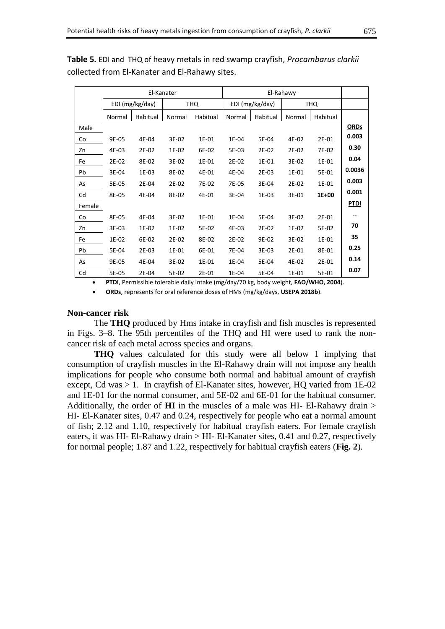|        | El-Kanater      |          |            |          |                 |          |            |          |             |
|--------|-----------------|----------|------------|----------|-----------------|----------|------------|----------|-------------|
|        | EDI (mg/kg/day) |          | <b>THQ</b> |          | EDI (mg/kg/day) |          | <b>THQ</b> |          |             |
|        | Normal          | Habitual | Normal     | Habitual | Normal          | Habitual | Normal     | Habitual |             |
| Male   |                 |          |            |          |                 |          |            |          | <b>ORDs</b> |
| Co     | 9E-05           | 4E-04    | 3E-02      | 1E-01    | 1E-04           | 5E-04    | 4E-02      | 2E-01    | 0.003       |
| Zn     | 4E-03           | 2E-02    | 1E-02      | 6E-02    | 5E-03           | 2E-02    | 2E-02      | 7E-02    | 0.30        |
| Fe     | 2E-02           | 8E-02    | 3E-02      | 1E-01    | 2E-02           | 1E-01    | 3E-02      | 1E-01    | 0.04        |
| Pb     | 3E-04           | 1E-03    | 8E-02      | 4E-01    | 4E-04           | 2E-03    | 1E-01      | 5E-01    | 0.0036      |
| As     | 5E-05           | 2E-04    | 2E-02      | 7E-02    | 7E-05           | 3E-04    | 2E-02      | 1E-01    | 0.003       |
| Cd     | 8E-05           | 4E-04    | 8E-02      | 4E-01    | 3E-04           | 1E-03    | 3E-01      | 1E+00    | 0.001       |
| Female |                 |          |            |          |                 |          |            |          | <b>PTDI</b> |
| Co     | 8E-05           | 4E-04    | 3E-02      | 1E-01    | 1E-04           | 5E-04    | 3E-02      | 2E-01    | --          |
| Zn     | 3E-03           | 1E-02    | 1E-02      | 5E-02    | 4E-03           | 2E-02    | 1E-02      | 5E-02    | 70          |
| Fe     | 1E-02           | 6E-02    | 2E-02      | 8E-02    | 2E-02           | 9E-02    | 3E-02      | 1E-01    | 35          |
| Pb     | 5E-04           | 2E-03    | 1E-01      | 6E-01    | 7E-04           | 3E-03    | 2E-01      | 8E-01    | 0.25        |
| As     | 9E-05           | 4E-04    | 3E-02      | 1E-01    | 1E-04           | 5E-04    | 4E-02      | 2E-01    | 0.14        |
| Cd     | 5E-05           | 2E-04    | 5E-02      | 2E-01    | 1E-04           | 5E-04    | 1E-01      | 5E-01    | 0.07        |

**Table 5.** EDI and THQ of heavy metals in red swamp crayfish, *Procambarus clarkii* collected from El-Kanater and El-Rahawy sites.

**PTDI**, Permissible tolerable daily intake (mg/day/70 kg, body weight, **FAO/WHO, 2004**).

**ORDs**, represents for oral reference doses of HMs (mg/kg/days, **USEPA 2018b**).

#### **Non-cancer risk**

The **THQ** produced by Hms intake in crayfish and fish muscles is represented in Figs. 3–8. The 95th percentiles of the THQ and HI were used to rank the noncancer risk of each metal across species and organs.

**THQ** values calculated for this study were all below 1 implying that consumption of crayfish muscles in the El-Rahawy drain will not impose any health implications for people who consume both normal and habitual amount of crayfish except, Cd was > 1. In crayfish of El-Kanater sites, however, HQ varied from 1E-02 and 1E-01 for the normal consumer, and 5E-02 and 6E-01 for the habitual consumer. Additionally, the order of **HI** in the muscles of a male was HI- El-Rahawy drain > HI- El-Kanater sites, 0.47 and 0.24, respectively for people who eat a normal amount of fish; 2.12 and 1.10, respectively for habitual crayfish eaters. For female crayfish eaters, it was HI- El-Rahawy drain > HI- El-Kanater sites, 0.41 and 0.27, respectively for normal people; 1.87 and 1.22, respectively for habitual crayfish eaters (**Fig. 2**).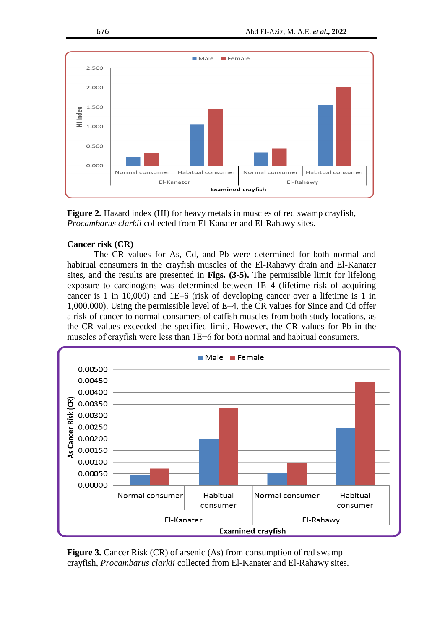

**Figure 2.** Hazard index (HI) for heavy metals in muscles of red swamp crayfish, *Procambarus clarkii* collected from El-Kanater and El-Rahawy sites.

# **Cancer risk (CR)**

The CR values for As, Cd, and Pb were determined for both normal and habitual consumers in the crayfish muscles of the El-Rahawy drain and El-Kanater sites, and the results are presented in **Figs. (3-5).** The permissible limit for lifelong exposure to carcinogens was determined between 1E–4 (lifetime risk of acquiring cancer is 1 in 10,000) and 1E–6 (risk of developing cancer over a lifetime is 1 in 1,000,000). Using the permissible level of E–4, the CR values for Since and Cd offer a risk of cancer to normal consumers of catfish muscles from both study locations, as the CR values exceeded the specified limit. However, the CR values for Pb in the muscles of crayfish were less than 1E−6 for both normal and habitual consumers.



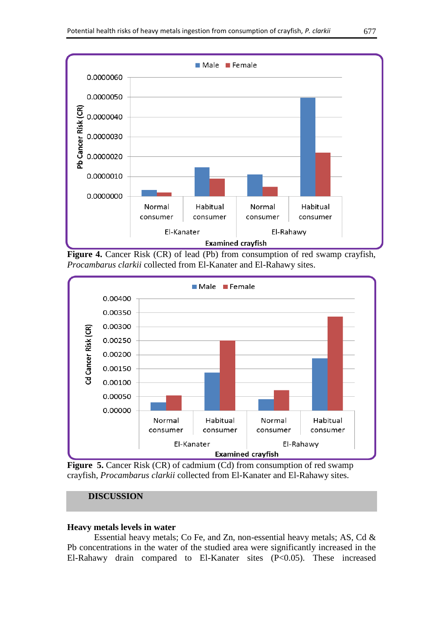

**Figure 4.** Cancer Risk (CR) of lead (Pb) from consumption of red swamp crayfish, *Procambarus clarkii* collected from El-Kanater and El-Rahawy sites.



**Figure 5.** Cancer Risk (CR) of cadmium (Cd) from consumption of red swamp crayfish, *Procambarus clarkii* collected from El-Kanater and El-Rahawy sites.

# **DISCUSSION**

# **Heavy metals levels in water**

Essential heavy metals; Co Fe, and Zn, non-essential heavy metals; AS, Cd & Pb concentrations in the water of the studied area were significantly increased in the El-Rahawy drain compared to El-Kanater sites (P<0.05). These increased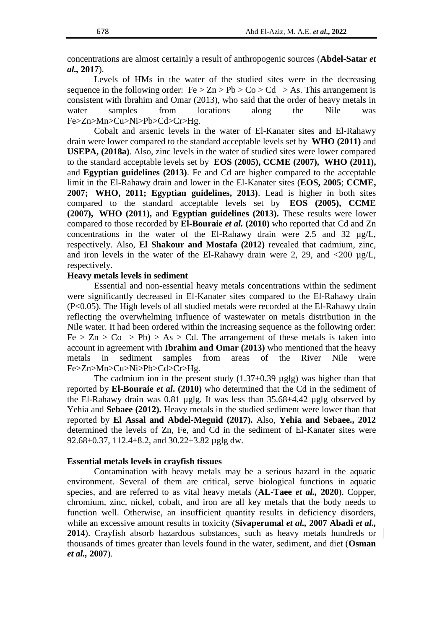concentrations are almost certainly a result of anthropogenic sources (**Abdel-Satar** *et al.,* **2017**).

Levels of HMs in the water of the studied sites were in the decreasing sequence in the following order:  $Fe > Zn > Pb > Co > Cd > As$ . This arrangement is consistent with Ibrahim and Omar (2013), who said that the order of heavy metals in water samples from locations along the Nile was Fe>Zn>Mn>Cu>Ni>Pb>Cd>Cr>Hg.

Cobalt and arsenic levels in the water of El-Kanater sites and El-Rahawy drain were lower compared to the standard acceptable levels set by **WHO (2011)** and **USEPA, (2018a)**. Also, zinc levels in the water of studied sites were lower compared to the standard acceptable levels set by **EOS (2005), CCME (2007), WHO (2011),** and **Egyptian guidelines (2013)**. Fe and Cd are higher compared to the acceptable limit in the El-Rahawy drain and lower in the El-Kanater sites (**EOS, 2005**; **CCME, 2007; WHO, 2011; Egyptian guidelines, 2013)**. Lead is higher in both sites compared to the standard acceptable levels set by **EOS (2005), CCME (2007), WHO (2011),** and **Egyptian guidelines (2013).** These results were lower compared to those recorded by **El-Bouraie** *et al.* **(2010)** who reported that Cd and Zn concentrations in the water of the El-Rahawy drain were  $2.5$  and  $32 \text{ ug/L}$ . respectively. Also, **El Shakour and Mostafa (2012)** revealed that cadmium, zinc, and iron levels in the water of the El-Rahawy drain were 2, 29, and  $\langle 200 \ \mu g/L$ , respectively.

#### **Heavy metals levels in sediment**

Essential and non-essential heavy metals concentrations within the sediment were significantly decreased in El-Kanater sites compared to the El-Rahawy drain (P<0.05). The High levels of all studied metals were recorded at the El-Rahawy drain reflecting the overwhelming influence of wastewater on metals distribution in the Nile water. It had been ordered within the increasing sequence as the following order:  $Fe > Zn > Co > Pb$ ) > As > Cd. The arrangement of these metals is taken into account in agreement with **Ibrahim and Omar (2013)** who mentioned that the heavy metals in sediment samples from areas of the River Nile were Fe>Zn>Mn>Cu>Ni>Pb>Cd>Cr>Hg.

The cadmium ion in the present study  $(1.37\pm0.39 \text{ µglg})$  was higher than that reported by **El-Bouraie** *et al***. (2010)** who determined that the Cd in the sediment of the El-Rahawy drain was 0.81 µglg. It was less than 35.68±4.42 µglg observed by Yehia and **Sebaee (2012).** Heavy metals in the studied sediment were lower than that reported by **El Assal and Abdel-Meguid (2017).** Also, **Yehia and Sebaee., 2012** determined the levels of Zn, Fe, and Cd in the sediment of El-Kanater sites were 92.68 $\pm$ 0.37, 112.4 $\pm$ 8.2, and 30.22 $\pm$ 3.82 µglg dw.

#### **Essential metals levels in crayfish tissues**

Contamination with heavy metals may be a serious hazard in the aquatic environment. Several of them are critical, serve biological functions in aquatic species, and are referred to as vital heavy metals (**AL-Taee** *et al.,* **2020**). Copper, chromium, zinc, nickel, cobalt, and iron are all key metals that the body needs to function well. Otherwise, an insufficient quantity results in deficiency disorders, while an excessive amount results in toxicity (**Sivaperumal** *et al.,* **2007 Abadi** *et al.,* **2014**). Crayfish absorb hazardous substances, such as heavy metals hundreds or thousands of times greater than levels found in the water, sediment, and diet (**Osman**  *et al.,* **2007**).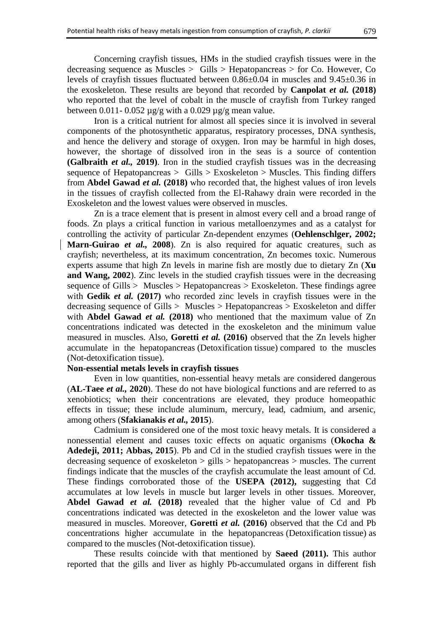Concerning crayfish tissues, HMs in the studied crayfish tissues were in the decreasing sequence as Muscles > Gills > Hepatopancreas > for Co. However, Co levels of crayfish tissues fluctuated between 0.86±0.04 in muscles and 9.45±0.36 in the exoskeleton. These results are beyond that recorded by **Canpolat** *et al.* **(2018)** who reported that the level of cobalt in the muscle of crayfish from Turkey ranged between 0.011- 0.052  $\mu$ g/g with a 0.029  $\mu$ g/g mean value.

Iron is a critical nutrient for almost all species since it is involved in several components of the photosynthetic apparatus, respiratory processes, DNA synthesis, and hence the delivery and storage of oxygen. Iron may be harmful in high doses, however, the shortage of dissolved iron in the seas is a source of contention **(Galbraith** *et al.,* **2019)**. Iron in the studied crayfish tissues was in the decreasing sequence of Hepatopancreas > Gills > Exoskeleton > Muscles. This finding differs from **Abdel Gawad** *et al.* **(2018)** who recorded that, the highest values of iron levels in the tissues of crayfish collected from the El-Rahawy drain were recorded in the Exoskeleton and the lowest values were observed in muscles.

Zn is a trace element that is present in almost every cell and a broad range of foods. Zn plays a critical function in various metalloenzymes and as a catalyst for controlling the activity of particular Zn-dependent enzymes (**Oehlenschlger, 2002; Marn-Guirao** *et al.,* **2008**). Zn is also required for aquatic creatures, such as crayfish; nevertheless, at its maximum concentration, Zn becomes toxic. Numerous experts assume that high Zn levels in marine fish are mostly due to dietary Zn (**Xu and Wang, 2002**). Zinc levels in the studied crayfish tissues were in the decreasing sequence of Gills > Muscles > Hepatopancreas > Exoskeleton. These findings agree with **Gedik** *et al.* **(2017)** who recorded zinc levels in crayfish tissues were in the decreasing sequence of Gills > Muscles > Hepatopancreas > Exoskeleton and differ with **Abdel Gawad** *et al.* **(2018)** who mentioned that the maximum value of Zn concentrations indicated was detected in the exoskeleton and the minimum value measured in muscles. Also, **Goretti** *et al.* **(2016)** observed that the Zn levels higher accumulate in the hepatopancreas (Detoxification tissue) compared to the muscles (Not-detoxification tissue).

### **Non-essential metals levels in crayfish tissues**

Even in low quantities, non-essential heavy metals are considered dangerous (**AL-Taee** *et al.,* **2020**). These do not have biological functions and are referred to as xenobiotics; when their concentrations are elevated, they produce homeopathic effects in tissue; these include aluminum, mercury, lead, cadmium, and arsenic, among others (**Sfakianakis** *et al.,* **2015**).

Cadmium is considered one of the most toxic heavy metals. It is considered a nonessential element and causes toxic effects on aquatic organisms (**Okocha & Adedeji, 2011; Abbas, 2015**). Pb and Cd in the studied crayfish tissues were in the decreasing sequence of exoskeleton > gills > hepatopancreas > muscles. The current findings indicate that the muscles of the crayfish accumulate the least amount of Cd. These findings corroborated those of the **USEPA (2012),** suggesting that Cd accumulates at low levels in muscle but larger levels in other tissues. Moreover, **Abdel Gawad** *et al.* **(2018)** revealed that the higher value of Cd and Pb concentrations indicated was detected in the exoskeleton and the lower value was measured in muscles. Moreover, **Goretti** *et al.* **(2016)** observed that the Cd and Pb concentrations higher accumulate in the hepatopancreas (Detoxification tissue) as compared to the muscles (Not-detoxification tissue).

These results coincide with that mentioned by **Saeed (2011).** This author reported that the gills and liver as highly Pb-accumulated organs in different fish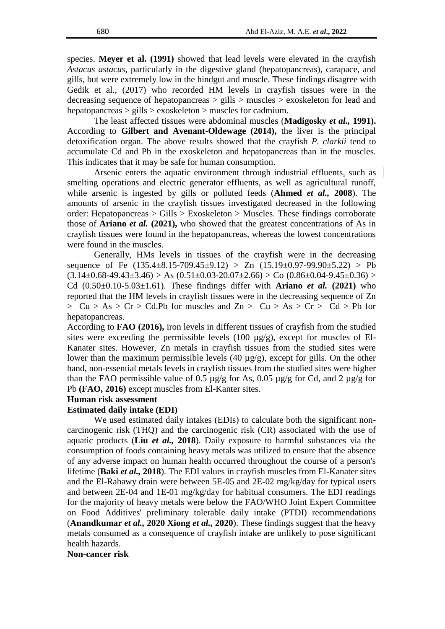species. **Meyer et al. (1991)** showed that lead levels were elevated in the crayfish *Astacus astacus*, particularly in the digestive gland (hepatopancreas), carapace, and gills, but were extremely low in the hindgut and muscle. These findings disagree with Gedik et al., (2017) who recorded HM levels in crayfish tissues were in the decreasing sequence of hepatopancreas > gills > muscles > exoskeleton for lead and hepatopancreas > gills > exoskeleton > muscles for cadmium.

The least affected tissues were abdominal muscles (**Madigosky** *et al.,* **1991).** According to **Gilbert and Avenant-Oldewage (2014),** the liver is the principal detoxification organ. The above results showed that the crayfish *P. clarkii* tend to accumulate Cd and Pb in the exoskeleton and hepatopancreas than in the muscles. This indicates that it may be safe for human consumption.

Arsenic enters the aquatic environment through industrial effluents, such as smelting operations and electric generator effluents, as well as agricultural runoff, while arsenic is ingested by gills or polluted feeds (**Ahmed** *et al.,* **2008**). The amounts of arsenic in the crayfish tissues investigated decreased in the following order: Hepatopancreas > Gills > Exoskeleton > Muscles. These findings corroborate those of **Ariano** *et al.* **(2021),** who showed that the greatest concentrations of As in crayfish tissues were found in the hepatopancreas, whereas the lowest concentrations were found in the muscles.

Generally, HMs levels in tissues of the crayfish were in the decreasing sequence of Fe  $(135.4\pm8.15-709.45\pm9.12) > Zn (15.19\pm0.97-99.90\pm5.22) > Pb$  $(3.14\pm0.68-49.43\pm3.46)$  > As  $(0.51\pm0.03-20.07\pm2.66)$  > Co  $(0.86\pm0.04-9.45\pm0.36)$  > Cd  $(0.50\pm0.10-5.03\pm1.61)$ . These findings differ with **Ariano** *et al.* (2021) who reported that the HM levels in crayfish tissues were in the decreasing sequence of Zn  $> Cu > As > Cr > Cd.Pb$  for muscles and  $Zn > Cu > As > Cr > Cd > Pb$  for hepatopancreas.

According to **FAO (2016),** iron levels in different tissues of crayfish from the studied sites were exceeding the permissible levels (100  $\mu$ g/g), except for muscles of El-Kanater sites. However, Zn metals in crayfish tissues from the studied sites were lower than the maximum permissible levels (40 µg/g), except for gills. On the other hand, non-essential metals levels in crayfish tissues from the studied sites were higher than the FAO permissible value of 0.5 µg/g for As, 0.05 µg/g for Cd, and 2 µg/g for Pb **(FAO, 2016)** except muscles from El-Kanter sites.

#### **Human risk assessment**

#### **Estimated daily intake (EDI)**

We used estimated daily intakes (EDIs) to calculate both the significant noncarcinogenic risk (THQ) and the carcinogenic risk (CR) associated with the use of aquatic products (**Liu** *et al.,* **2018**). Daily exposure to harmful substances via the consumption of foods containing heavy metals was utilized to ensure that the absence of any adverse impact on human health occurred throughout the course of a person's lifetime (**Baki** *et al.,* **2018**). The EDI values in crayfish muscles from El-Kanater sites and the El-Rahawy drain were between 5E-05 and 2E-02 mg/kg/day for typical users and between 2E-04 and 1E-01 mg/kg/day for habitual consumers. The EDI readings for the majority of heavy metals were below the FAO/WHO Joint Expert Committee on Food Additives' preliminary tolerable daily intake (PTDI) recommendations (**Anandkumar** *et al.,* **2020 Xiong** *et al.,* **2020**). These findings suggest that the heavy metals consumed as a consequence of crayfish intake are unlikely to pose significant health hazards.

**Non-cancer risk**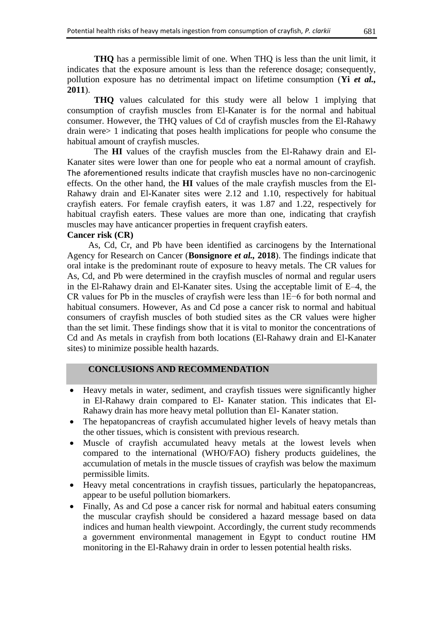**THQ** has a permissible limit of one. When THQ is less than the unit limit, it indicates that the exposure amount is less than the reference dosage; consequently, pollution exposure has no detrimental impact on lifetime consumption (**Yi** *et al.,* **2011**).

**THQ** values calculated for this study were all below 1 implying that consumption of crayfish muscles from El-Kanater is for the normal and habitual consumer. However, the THQ values of Cd of crayfish muscles from the El-Rahawy drain were> 1 indicating that poses health implications for people who consume the habitual amount of crayfish muscles.

The **HI** values of the crayfish muscles from the El-Rahawy drain and El-Kanater sites were lower than one for people who eat a normal amount of crayfish. The aforementioned results indicate that crayfish muscles have no non-carcinogenic effects. On the other hand, the **HI** values of the male crayfish muscles from the El-Rahawy drain and El-Kanater sites were 2.12 and 1.10, respectively for habitual crayfish eaters. For female crayfish eaters, it was 1.87 and 1.22, respectively for habitual crayfish eaters. These values are more than one, indicating that crayfish muscles may have anticancer properties in frequent crayfish eaters.

# **Cancer risk (CR)**

As, Cd, Cr, and Pb have been identified as carcinogens by the International Agency for Research on Cancer (**Bonsignore** *et al.,* **2018**). The findings indicate that oral intake is the predominant route of exposure to heavy metals. The CR values for As, Cd, and Pb were determined in the crayfish muscles of normal and regular users in the El-Rahawy drain and El-Kanater sites. Using the acceptable limit of E–4, the CR values for Pb in the muscles of crayfish were less than 1E−6 for both normal and habitual consumers. However, As and Cd pose a cancer risk to normal and habitual consumers of crayfish muscles of both studied sites as the CR values were higher than the set limit. These findings show that it is vital to monitor the concentrations of Cd and As metals in crayfish from both locations (El-Rahawy drain and El-Kanater sites) to minimize possible health hazards.

#### **CONCLUSIONS AND RECOMMENDATION**

- Heavy metals in water, sediment, and crayfish tissues were significantly higher in El-Rahawy drain compared to El- Kanater station. This indicates that El-Rahawy drain has more heavy metal pollution than El- Kanater station.
- The hepatopancreas of crayfish accumulated higher levels of heavy metals than the other tissues, which is consistent with previous research.
- Muscle of crayfish accumulated heavy metals at the lowest levels when compared to the international (WHO/FAO) fishery products guidelines, the accumulation of metals in the muscle tissues of crayfish was below the maximum permissible limits.
- Heavy metal concentrations in crayfish tissues, particularly the hepatopancreas, appear to be useful pollution biomarkers.
- Finally, As and Cd pose a cancer risk for normal and habitual eaters consuming the muscular crayfish should be considered a hazard message based on data indices and human health viewpoint. Accordingly, the current study recommends a government environmental management in Egypt to conduct routine HM monitoring in the El-Rahawy drain in order to lessen potential health risks.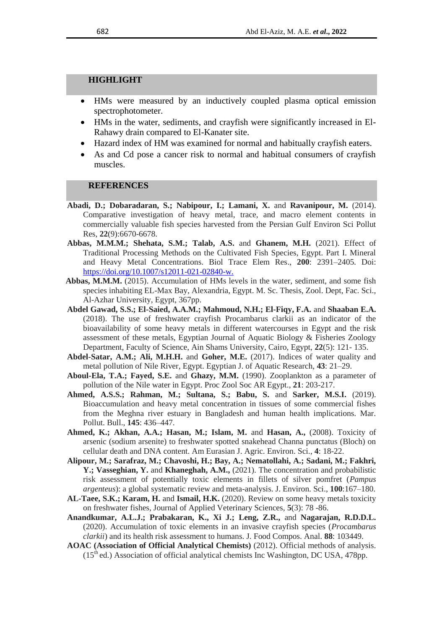#### **HIGHLIGHT**

- HMs were measured by an inductively coupled plasma optical emission spectrophotometer.
- HMs in the water, sediments, and crayfish were significantly increased in El-Rahawy drain compared to El-Kanater site.
- Hazard index of HM was examined for normal and habitually crayfish eaters.
- As and Cd pose a cancer risk to normal and habitual consumers of crayfish muscles.

## **REFERENCES**

- **Abadi, D.; Dobaradaran, S.; Nabipour, I.; Lamani, X.** and **Ravanipour, M.** (2014). Comparative investigation of heavy metal, trace, and macro element contents in commercially valuable fish species harvested from the Persian Gulf Environ Sci Pollut Res, **22**(9):6670-6678.
- **Abbas, M.M.M.; Shehata, S.M.; Talab, A.S.** and **Ghanem, M.H.** (2021). Effect of Traditional Processing Methods on the Cultivated Fish Species, Egypt. Part I. Mineral and Heavy Metal Concentrations. Biol Trace Elem Res., **200**: 2391–2405. Doi: [https://doi.org/10.1007/s12011-021-02840-w.](https://doi.org/10.1007/s12011-021-02840-w)
- **Abbas, M.M.M.** (2015). Accumulation of HMs levels in the water, sediment, and some fish species inhabiting EL-Max Bay, Alexandria, Egypt. M. Sc. Thesis, Zool. Dept, Fac. Sci., Al-Azhar University, Egypt, 367pp.
- **Abdel Gawad, S.S.; El-Saied, A.A.M.; Mahmoud, N.H.; El-Fiqy, F.A.** and **Shaaban E.A.**  (2018). The use of freshwater crayfish Procambarus clarkii as an indicator of the bioavailability of some heavy metals in different watercourses in Egypt and the risk assessment of these metals, Egyptian Journal of Aquatic Biology & Fisheries Zoology Department, Faculty of Science, Ain Shams University, Cairo, Egypt, **22**(5): 121- 135.
- **Abdel-Satar, A.M.; Ali, M.H.H.** and **Goher, M.E.** (2017). Indices of water quality and metal pollution of Nile River, Egypt. Egyptian J. of Aquatic Research, **43**: 21–29.
- **Aboul-Ela, T.A.; Fayed, S.E.** and **Ghazy, M.M.** (1990). Zooplankton as a parameter of pollution of the Nile water in Egypt. Proc Zool Soc AR Egypt., **21**: 203-217.
- **Ahmed, A.S.S.; Rahman, M.; Sultana, S.; Babu, S.** and **Sarker, M.S.I.** (2019). Bioaccumulation and heavy metal concentration in tissues of some commercial fishes from the Meghna river estuary in Bangladesh and human health implications. Mar. Pollut. Bull., **145**: 436–447.
- **Ahmed, K.; Akhan, A.A.; Hasan, M.; Islam, M.** and **Hasan, A.,** (2008). Toxicity of arsenic (sodium arsenite) to freshwater spotted snakehead Channa punctatus (Bloch) on cellular death and DNA content. Am Eurasian J. Agric. Environ. Sci., **4**: 18-22.
- **Alipour, M.; Sarafraz, M.; Chavoshi, H.; Bay, A.; Nematollahi, A.; Sadani, M.; Fakhri, Y.; Vasseghian, Y.** and **Khaneghah, A.M.,** (2021). The concentration and probabilistic risk assessment of potentially toxic elements in fillets of silver pomfret (*Pampus argenteus*): a global systematic review and meta-analysis. J. Environ. Sci., **100**:167–180.
- **AL-Taee, S.K.; Karam, H.** and **Ismail, H.K.** (2020). Review on some heavy metals toxicity on freshwater fishes, Journal of Applied Veterinary Sciences, **5**(3): 78 -86.
- **Anandkumar, A.L.J.; Prabakaran, K., Xi J.; Leng, Z.R.,** and **Nagarajan, R.D.D.L.**  (2020). Accumulation of toxic elements in an invasive crayfish species (*Procambarus clarkii*) and its health risk assessment to humans. J. Food Compos. Anal. **88**: 103449.
- **AOAC (Association of Official Analytical Chemists)** (2012). Official methods of analysis.  $(15<sup>th</sup>$ ed.) Association of official analytical chemists Inc Washington, DC USA, 478pp.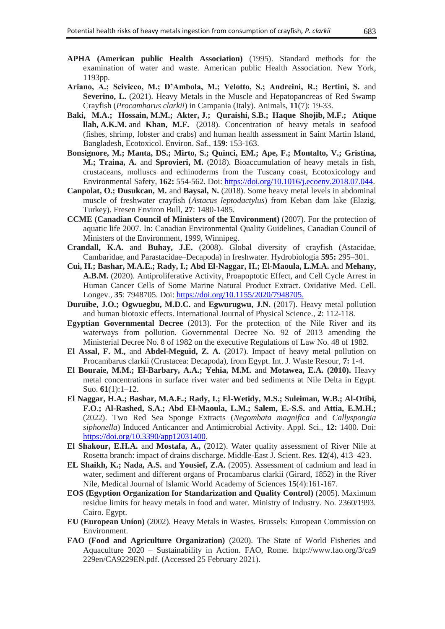- **APHA (American public Health Association)** (1995). Standard methods for the examination of water and waste. American public Health Association. New York, 1193pp.
- **Ariano, A.; Scivicco, M.; D'Ambola, M.; Velotto, S.; Andreini, R.; Bertini, S.** and **Severino, L.** (2021). Heavy Metals in the Muscle and Hepatopancreas of Red Swamp Crayfish (*Procambarus clarkii*) in Campania (Italy). Animals, **11**(7): 19-33.
- **Baki, M.A.; Hossain, M.M.; Akter, J.; Quraishi, S.B.; Haque Shojib, M.F.; Atique llah, A.K.M.** and **Khan, M.F.** (2018). Concentration of heavy metals in seafood (fishes, shrimp, lobster and crabs) and human health assessment in Saint Martin Island, Bangladesh, Ecotoxicol. Environ. Saf., **159**: 153-163.
- **Bonsignore, M.; Manta, DS.; Mirto, S.; Quinci, EM.; Ape, F.; Montalto, V.; Gristina, M.; Traina, A.** and **Sprovieri, M.** (2018). Bioaccumulation of heavy metals in fish, crustaceans, molluscs and echinoderms from the Tuscany coast, Ecotoxicology and Environmental Safety, **162:** 554-562. Doi: [https://doi.org/10.1016/j.ecoenv.2018.07.044.](https://doi.org/10.1016/j.ecoenv.2018.07.044)
- **Canpolat, O.; Dusukcan, M.** and **Baysal, N.** (2018). Some heavy metal levels in abdominal muscle of freshwater crayfish (*Astacus leptodactylus*) from Keban dam lake (Elazig, Turkey). Fresen Environ Bull, **27**: 1480-1485.
- **CCME (Canadian Council of Ministers of the Environment)** (2007). For the protection of aquatic life 2007. In: Canadian Environmental Quality Guidelines, Canadian Council of Ministers of the Environment, 1999, Winnipeg.
- **Crandall, K.A.** and **Buhay, J.E.** (2008). Global diversity of crayfish (Astacidae, Cambaridae, and Parastacidae–Decapoda) in freshwater. Hydrobiologia **595:** 295–301.
- **Cui, H.; Bashar, M.A.E.; Rady, I.; Abd El-Naggar, H.; El-Maoula, L.M.A.** and **Mehany, A.B.M.** (2020). Antiproliferative Activity, Proapoptotic Effect, and Cell Cycle Arrest in Human Cancer Cells of Some Marine Natural Product Extract. Oxidative Med. Cell. Longev., **35**: 7948705. Doi: [https://doi.org/10.1155/2020/7948705.](https://doi.org/10.1155/2020/7948705)
- **Duruibe, J.O.; Ogwuegbu, M.D.C.** and **Egwurugwu, J.N.** (2017). Heavy metal pollution and human biotoxic effects. International Journal of Physical Science., **2**: 112-118.
- **Egyptian Governmental Decree** (2013). For the protection of the Nile River and its waterways from pollution. Governmental Decree No. 92 of 2013 amending the Ministerial Decree No. 8 of 1982 on the executive Regulations of Law No. 48 of 1982.
- **El Assal, F. M.,** and **Abdel-Meguid, Z. A.** (2017). Impact of heavy metal pollution on Procambarus clarkii (Crustacea: Decapoda), from Egypt. Int. J. Waste Resour, **7:** 1-4.
- **El Bouraie, M.M.; El-Barbary, A.A.; Yehia, M.M.** and **Motawea, E.A. (2010).** Heavy metal concentrations in surface river water and bed sediments at Nile Delta in Egypt. Suo. **61**(1):1–12.
- **El Naggar, H.A.; Bashar, M.A.E.; Rady, I.; El-Wetidy, M.S.; Suleiman, W.B.; Al-Otibi, F.O.; Al-Rashed, S.A.; Abd El-Maoula, L.M.; Salem, E.-S.S.** and **Attia, E.M.H.;**  (2022). Two Red Sea Sponge Extracts (*Negombata magnifica* and *Callyspongia siphonella*) Induced Anticancer and Antimicrobial Activity. Appl. Sci., **12:** 1400. Doi: [https://doi.org/10.3390/app12031400.](https://doi.org/10.3390/app12031400)
- **El Shakour, E.H.A.** and **Mostafa, A.,** (2012). Water quality assessment of River Nile at Rosetta branch: impact of drains discharge. Middle-East J. Scient. Res. **12**(4), 413–423.
- **EL Shaikh, K.; Nada, A.S.** and **Yousief, Z.A.** (2005). Assessment of cadmium and lead in water, sediment and different organs of Procambarus clarkii (Girard, 1852) in the River Nile, Medical Journal of Islamic World Academy of Sciences **15**(4):161-167.
- **EOS (Egyption Organization for Standarization and Quality Control)** (2005). Maximum residue limits for heavy metals in food and water. Ministry of Industry. No. 2360/1993. Cairo. Egypt.
- **EU (European Union)** (2002). Heavy Metals in Wastes. Brussels: European Commission on Environment.
- **FAO (Food and Agriculture Organization)** (2020). The State of World Fisheries and Aquaculture 2020 – Sustainability in Action. FAO, Rome. http://www.fao.org/3/ca9 229en/CA9229EN.pdf. (Accessed 25 February 2021).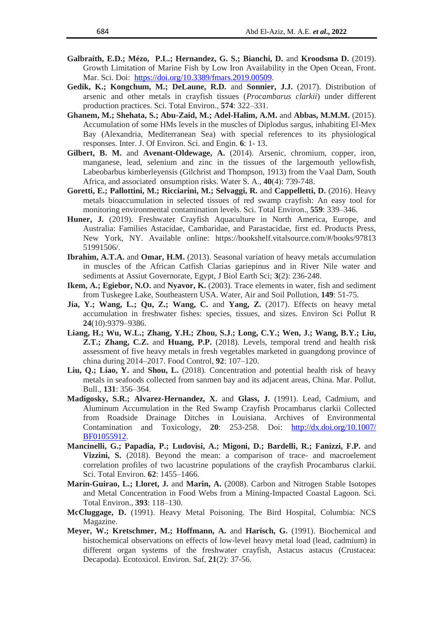- **Galbraith, E.D.; Mézo, P.L.; Hernandez, G. S.; Bianchi, D.** and **Kroodsma D.** (2019). Growth Limitation of Marine Fish by Low Iron Availability in the Open Ocean, Front. Mar. Sci. Doi: [https://doi.org/10.3389/fmars.2019.00509.](https://doi.org/10.3389/fmars.2019.00509)
- **Gedik, K.; Kongchum, M.; DeLaune, R.D.** and **Sonnier, J.J.** (2017). Distribution of arsenic and other metals in crayfish tissues (*Procambarus clarkii*) under different production practices. Sci. Total Environ., **574**: 322–331.
- **Ghanem, M.; Shehata, S.; Abu-Zaid, M.; Adel-Halim, A.M.** and **Abbas, M.M.M.** (2015). Accumulation of some HMs levels in the muscles of Diplodus sargus, inhabiting El-Mex Bay (Alexandria, Mediterranean Sea) with special references to its physiological responses. Inter. J. Of Environ. Sci. and Engin. **6**: 1- 13.
- **Gilbert, B. M.** and **Avenant-Oldewage, A.** (2014). Arsenic, chromium, copper, iron, manganese, lead, selenium and zinc in the tissues of the largemouth yellowfish, Labeobarbus kimberleyensis (Gilchrist and Thompson, 1913) from the Vaal Dam, South Africa, and associated onsumption risks. Water S. A., **40**(4): 739-748.
- **Goretti, E.; Pallottini, M.; Ricciarini, M.; Selvaggi, R. and Cappelletti, D. (2016). Heavy** metals bioaccumulation in selected tissues of red swamp crayfish: An easy tool for monitoring environmental contamination levels. Sci. Total Environ., **559**: 339–346.
- **Huner, J.** (2019). Freshwater Crayfish Aquaculture in North America, Europe, and Australia: Families Astacidae, Cambaridae, and Parastacidae, first ed. Products Press, New York, NY. Available online: [https://bookshelf.vitalsource.com/#/books/97813](https://bookshelf.vitalsource.com/#/books/97813 51991506/)  [51991506/.](https://bookshelf.vitalsource.com/#/books/97813 51991506/)
- **Ibrahim, A.T.A.** and **Omar, H.M.** (2013). Seasonal variation of heavy metals accumulation in muscles of the African Catfish Clarias gariepinus and in River Nile water and sediments at Assiut Governorate, Egypt, J Biol Earth Sci; **3**(2): 236-248.
- **Ikem, A.; Egiebor, N.O. and Nyavor, K.** (2003). Trace elements in water, fish and sediment from Tuskegee Lake, Southeastern USA. Water, Air and Soil Pollution, **149**: 51-75.
- **Jia, Y.; Wang, L.; Qu, Z.; Wang, C.** and **Yang, Z.** (2017). Effects on heavy metal accumulation in freshwater fishes: species, tissues, and sizes. Environ Sci Pollut R **24**(10):9379–9386.
- **Liang, H.; Wu, W.L.; Zhang, Y.H.; Zhou, S.J.; Long, C.Y.; Wen, J.; Wang, B.Y.; Liu, Z.T.; Zhang, C.Z.** and **Huang, P.P.** (2018). Levels, temporal trend and health risk assessment of five heavy metals in fresh vegetables marketed in guangdong province of china during 2014–2017. Food Control, **92**: 107–120.
- **Liu, Q.; Liao, Y.** and **Shou, L.** (2018). Concentration and potential health risk of heavy metals in seafoods collected from sanmen bay and its adjacent areas, China. Mar. Pollut. Bull., **131**: 356–364.
- **Madigosky, S.R.; Alvarez-Hernandez, X.** and **Glass, J.** (1991). Lead, Cadmium, and Aluminum Accumulation in the Red Swamp Crayfish Procambarus clarkii Collected from Roadside Drainage Ditches in Louisiana. Archives of Environmental Contamination and Toxicology, **20**: 253-258. Doi: [http://dx.doi.org/10.1007/](http://dx.doi.org/10.1007/%20BF01055912)  [BF01055912.](http://dx.doi.org/10.1007/%20BF01055912)
- **Mancinelli, G.; Papadia, P.; Ludovisi, A.; Migoni, D.; Bardelli, R.; Fanizzi, F.P.** and Vizzini, S. (2018). Beyond the mean: a comparison of trace- and macroelement correlation profiles of two lacustrine populations of the crayfish Procambarus clarkii. Sci. Total Environ. **62**: 1455–1466.
- **Marín-Guirao, L.; Lloret, J. and <b>Marin, A.** (2008). Carbon and Nitrogen Stable Isotopes and Metal Concentration in Food Webs from a Mining-Impacted Coastal Lagoon. Sci. Total Environ., **393**: 118–130.
- **McCluggage, D.** (1991). Heavy Metal Poisoning. The Bird Hospital, Columbia: NCS Magazine.
- **Meyer, W.; Kretschmer, M.; Hoffmann, A.** and **Harisch, G.** (1991). Biochemical and histochemical observations on effects of low-level heavy metal load (lead, cadmium) in different organ systems of the freshwater crayfish, Astacus astacus (Crustacea: Decapoda). Ecotoxicol. Environ. Saf, **21**(2): 37-56.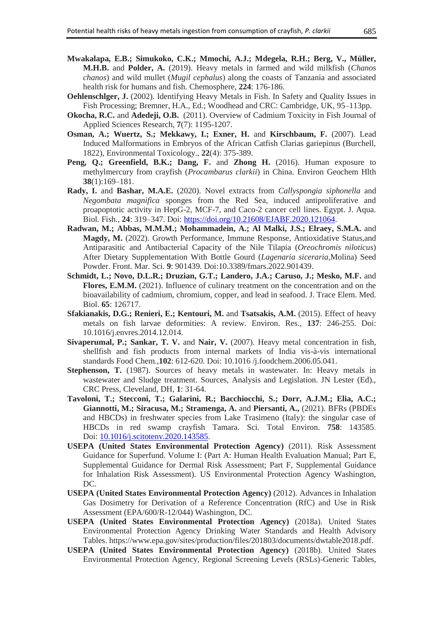- **Mwakalapa, E.B.; Simukoko, C.K.; Mmochi, A.J.; Mdegela, R.H.; Berg, V., Müller, M.H.B.** and **Polder, A.** (2019). Heavy metals in farmed and wild milkfish (*Chanos chanos*) and wild mullet (*Mugil cephalus*) along the coasts of Tanzania and associated health risk for humans and fish. Chemosphere, **224**: 176-186.
- **Oehlenschlger, J.** (2002). Identifying Heavy Metals in Fish. In Safety and Quality Issues in Fish Processing; Bremner, H.A., Ed.; Woodhead and CRC: Cambridge, UK, 95–113pp.
- **Okocha, R.C.** and **Adedeji, O.B.** (2011). Overview of Cadmium Toxicity in Fish Journal of Applied Sciences Research, **7**(7): 1195-1207.
- **Osman, A.; Wuertz, S.; Mekkawy, I.; Exner, H. and Kirschbaum, F. (2007).** Lead Induced Malformations in Embryos of the African Catfish Clarias gariepinus (Burchell, 1822), Environmental Toxicology., **22**(4): 375-389.
- Peng, Q.; Greenfield, B.K.; Dang, F. and Zhong H. (2016). Human exposure to methylmercury from crayfish (*Procambarus clarkii*) in China. Environ Geochem Hlth **38**(1):169–181.
- **Rady, I.** and **Bashar, M.A.E.** (2020). Novel extracts from *Callyspongia siphonella* and *Negombata magnifica* sponges from the Red Sea, induced antiproliferative and proapoptotic activity in HepG-2, MCF-7, and Caco-2 cancer cell lines. Egypt. J. Aqua. Biol. Fish., **24**: 319–347. Doi: [https://doi.org/10.21608/EJABF.2020.121064.](https://doi.org/10.21608/EJABF.2020.121064)
- **Radwan, M.; Abbas, M.M.M.; Mohammadein, A.; Al Malki, J.S.; Elraey, S.M.A.** and **Magdy, M.** (2022). Growth Performance, Immune Response, Antioxidative Status,and Antiparasitic and Antibacterial Capacity of the Nile Tilapia (*Oreochromis niloticus*) After Dietary Supplementation With Bottle Gourd (*Lagenaria siceraria*,Molina) Seed Powder. Front. Mar. Sci. **9**: 901439. Doi:10.3389/fmars.2022.901439.
- **Schmidt, L.; Novo, D.L.R.; Druzian, G.T.; Landero, J.A.; Caruso, J.; Mesko, M.F.** and **Flores, E.M.M.** (2021). Influence of culinary treatment on the concentration and on the bioavailability of cadmium, chromium, copper, and lead in seafood. J. Trace Elem. Med. Biol. **65**: 126717.
- **Sfakianakis, D.G.; Renieri, E.; Kentouri, M.** and **Tsatsakis, A.M.** (2015). Effect of heavy metals on fish larvae deformities: A review. Environ. Res., **137**: 246-255. Doi: 10.1016/j.envres.2014.12.014.
- **Sivaperumal, P.; Sankar, T. V.** and **Nair, V.** (2007). Heavy metal concentration in fish, shellfish and fish products from internal markets of India vis-à-vis international standards Food Chem.,**102**: 612-620. Doi: 10.1016 /j.foodchem.2006.05.041.
- **Stephenson, T.** (1987). Sources of heavy metals in wastewater. In: Heavy metals in wastewater and Sludge treatment. Sources, Analysis and Legislation. JN Lester (Ed)., CRC Press, Cleveland, DH, **1**: 31-64.
- **Tavoloni, T.; Stecconi, T.; Galarini, R.; Bacchiocchi, S.; Dorr, A.J.M.; Elia, A.C.; Giannotti, M.; Siracusa, M.; Stramenga, A.** and **Piersanti, A.,** (2021). BFRs (PBDEs and HBCDs) in freshwater species from Lake Trasimeno (Italy): the singular case of HBCDs in red swamp crayfish Tamara. Sci. Total Environ. **758**: 143585. Doi: [10.1016/j.scitotenv.2020.143585.](https://doi.org/10.1016/j.scitotenv.2020.143585)
- **[USEPA \(United States Environmental Protection Agency\)](http://refhub.elsevier.com/S0147-6513(21)00278-5/sbref41)** (2011). Risk Assessment [Guidance for Superfund. Volume I: \(Part A: Human](http://refhub.elsevier.com/S0147-6513(21)00278-5/sbref41) [Health Evaluation Manual; Part E,](http://refhub.elsevier.com/S0147-6513(21)00278-5/sbref41)  [Supplemental Guidance for Dermal Risk](http://refhub.elsevier.com/S0147-6513(21)00278-5/sbref41) [Assessment; Part F, Supplemental Guidance](http://refhub.elsevier.com/S0147-6513(21)00278-5/sbref41)  [for Inhalation Risk Assessment\). US](http://refhub.elsevier.com/S0147-6513(21)00278-5/sbref41) [Environmental Protection Agency Washington,](http://refhub.elsevier.com/S0147-6513(21)00278-5/sbref41)  [DC.](http://refhub.elsevier.com/S0147-6513(21)00278-5/sbref41)
- **USEPA (United States Environmental Protection Agency)** (2012). Advances in Inhalation Gas Dosimetry for Derivation of a Reference Concentration (RfC) and Use in Risk Assessment (EPA/600/R-12/044) Washington, DC.
- **USEPA (United States Environmental Protection Agency)** (2018a). United States Environmental Protection Agency Drinking Water Standards and Health Advisory Tables. [https://www.epa.gov/sites/production/files/201803/documents/dwtable2018.pdf.](https://www.epa.gov/sites/production/files/201803/documents/dwtable2018.pdf)
- **USEPA (United States Environmental Protection Agency)** (2018b). United States Environmental Protection Agency, Regional Screening Levels (RSLs)-Generic Tables,